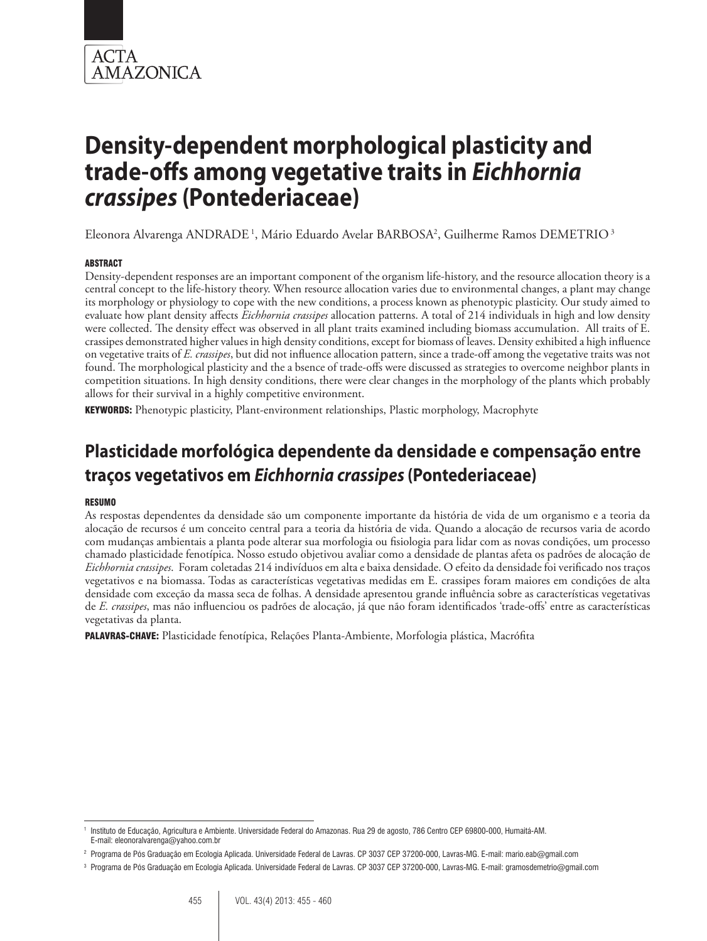

Eleonora Alvarenga ANDRADE<sup>1</sup>, Mário Eduardo Avelar BARBOSA<sup>2</sup>, Guilherme Ramos DEMETRIO<sup>3</sup>

#### ABSTRACT

Density-dependent responses are an important component of the organism life-history, and the resource allocation theory is a central concept to the life-history theory. When resource allocation varies due to environmental changes, a plant may change its morphology or physiology to cope with the new conditions, a process known as phenotypic plasticity. Our study aimed to evaluate how plant density affects *Eichhornia crassipes* allocation patterns. A total of 214 individuals in high and low density were collected. The density effect was observed in all plant traits examined including biomass accumulation. All traits of E. crassipes demonstrated higher values in high density conditions, except for biomass of leaves. Density exhibited a high influence on vegetative traits of *E. crassipes*, but did not influence allocation pattern, since a trade-off among the vegetative traits was not found. The morphological plasticity and the a bsence of trade-offs were discussed as strategies to overcome neighbor plants in competition situations. In high density conditions, there were clear changes in the morphology of the plants which probably allows for their survival in a highly competitive environment.

KEYWORDS: Phenotypic plasticity, Plant-environment relationships, Plastic morphology, Macrophyte

# **Plasticidade morfológica dependente da densidade e compensação entre traços vegetativos em** *Eichhornia crassipes* **(Pontederiaceae)**

#### **RESUMO**

As respostas dependentes da densidade são um componente importante da história de vida de um organismo e a teoria da alocação de recursos é um conceito central para a teoria da história de vida. Quando a alocação de recursos varia de acordo com mudanças ambientais a planta pode alterar sua morfologia ou fisiologia para lidar com as novas condições, um processo chamado plasticidade fenotípica. Nosso estudo objetivou avaliar como a densidade de plantas afeta os padrões de alocação de *Eichhornia crassipes*. Foram coletadas 214 indivíduos em alta e baixa densidade. O efeito da densidade foi verificado nos traços vegetativos e na biomassa. Todas as características vegetativas medidas em E. crassipes foram maiores em condições de alta densidade com exceção da massa seca de folhas. A densidade apresentou grande influência sobre as características vegetativas de *E. crassipes*, mas não influenciou os padrões de alocação, já que não foram identificados 'trade-offs' entre as características vegetativas da planta.

PALAVRAS-CHAVE: Plasticidade fenotípica, Relações Planta-Ambiente, Morfologia plástica, Macrófita

<sup>1</sup> Instituto de Educação, Agricultura e Ambiente. Universidade Federal do Amazonas. Rua 29 de agosto, 786 Centro CEP 69800-000, Humaitá-AM. E-mail: eleonoralvarenga@yahoo.com.br

<sup>2</sup> Programa de Pós Graduação em Ecologia Aplicada. Universidade Federal de Lavras. CP 3037 CEP 37200-000, Lavras-MG. E-mail: mario.eab@gmail.com

<sup>3</sup> Programa de Pós Graduação em Ecologia Aplicada. Universidade Federal de Lavras. CP 3037 CEP 37200-000, Lavras-MG. E-mail: gramosdemetrio@gmail.com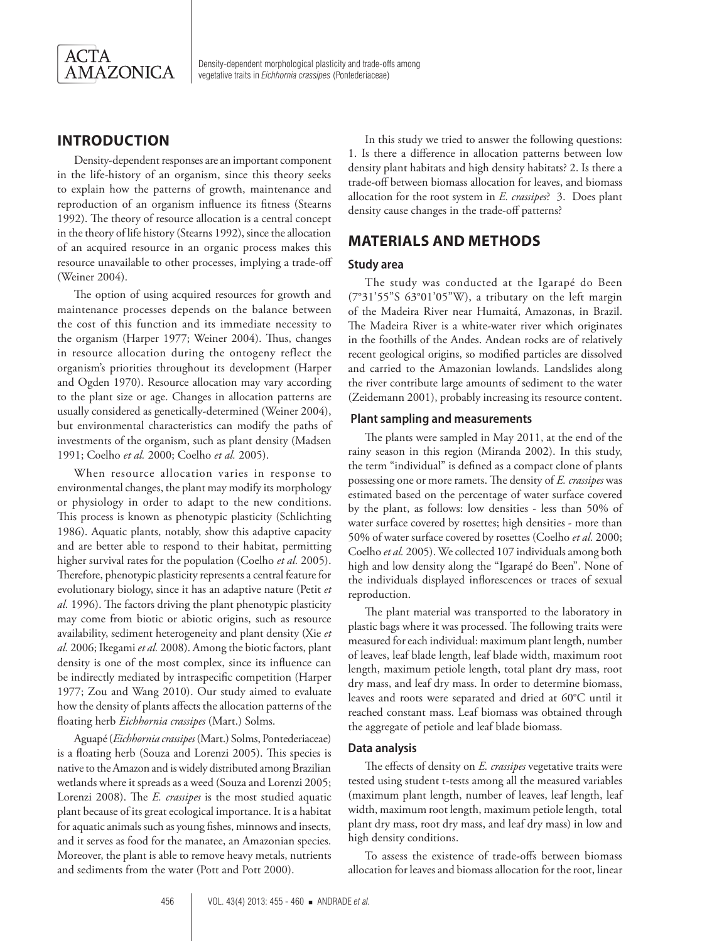

# **INTRODUCTION**

Density-dependent responses are an important component in the life-history of an organism, since this theory seeks to explain how the patterns of growth, maintenance and reproduction of an organism influence its fitness (Stearns 1992). The theory of resource allocation is a central concept in the theory of life history (Stearns 1992), since the allocation of an acquired resource in an organic process makes this resource unavailable to other processes, implying a trade-off (Weiner 2004).

The option of using acquired resources for growth and maintenance processes depends on the balance between the cost of this function and its immediate necessity to the organism (Harper 1977; Weiner 2004). Thus, changes in resource allocation during the ontogeny reflect the organism's priorities throughout its development (Harper and Ogden 1970). Resource allocation may vary according to the plant size or age. Changes in allocation patterns are usually considered as genetically-determined (Weiner 2004), but environmental characteristics can modify the paths of investments of the organism, such as plant density (Madsen 1991; Coelho *et al.* 2000; Coelho *et al.* 2005).

When resource allocation varies in response to environmental changes, the plant may modify its morphology or physiology in order to adapt to the new conditions. This process is known as phenotypic plasticity (Schlichting 1986). Aquatic plants, notably, show this adaptive capacity and are better able to respond to their habitat, permitting higher survival rates for the population (Coelho *et al.* 2005). Therefore, phenotypic plasticity represents a central feature for evolutionary biology, since it has an adaptive nature (Petit *et al.* 1996). The factors driving the plant phenotypic plasticity may come from biotic or abiotic origins, such as resource availability, sediment heterogeneity and plant density (Xie *et al.* 2006; Ikegami *et al.* 2008). Among the biotic factors, plant density is one of the most complex, since its influence can be indirectly mediated by intraspecific competition (Harper 1977; Zou and Wang 2010). Our study aimed to evaluate how the density of plants affects the allocation patterns of the floating herb *Eichhornia crassipes* (Mart.) Solms.

Aguapé (*Eichhornia crassipes* (Mart.) Solms, Pontederiaceae) is a floating herb (Souza and Lorenzi 2005). This species is native to the Amazon and is widely distributed among Brazilian wetlands where it spreads as a weed (Souza and Lorenzi 2005; Lorenzi 2008). The *E. crassipes* is the most studied aquatic plant because of its great ecological importance. It is a habitat for aquatic animals such as young fishes, minnows and insects, and it serves as food for the manatee, an Amazonian species. Moreover, the plant is able to remove heavy metals, nutrients and sediments from the water (Pott and Pott 2000).

In this study we tried to answer the following questions: 1. Is there a difference in allocation patterns between low density plant habitats and high density habitats? 2. Is there a trade-off between biomass allocation for leaves, and biomass allocation for the root system in *E. crassipes*? 3. Does plant density cause changes in the trade-off patterns?

# **MATERIALS AND METHODS**

#### **Study area**

The study was conducted at the Igarapé do Been (7°31'55"S 63°01'05"W), a tributary on the left margin of the Madeira River near Humaitá, Amazonas, in Brazil. The Madeira River is a white-water river which originates in the foothills of the Andes. Andean rocks are of relatively recent geological origins, so modified particles are dissolved and carried to the Amazonian lowlands. Landslides along the river contribute large amounts of sediment to the water (Zeidemann 2001), probably increasing its resource content.

#### **Plant sampling and measurements**

The plants were sampled in May 2011, at the end of the rainy season in this region (Miranda 2002). In this study, the term "individual" is defined as a compact clone of plants possessing one or more ramets. The density of *E. crassipes* was estimated based on the percentage of water surface covered by the plant, as follows: low densities - less than 50% of water surface covered by rosettes; high densities - more than 50% of water surface covered by rosettes (Coelho *et al.* 2000; Coelho *et al.* 2005). We collected 107 individuals among both high and low density along the "Igarapé do Been". None of the individuals displayed inflorescences or traces of sexual reproduction.

The plant material was transported to the laboratory in plastic bags where it was processed. The following traits were measured for each individual: maximum plant length, number of leaves, leaf blade length, leaf blade width, maximum root length, maximum petiole length, total plant dry mass, root dry mass, and leaf dry mass. In order to determine biomass, leaves and roots were separated and dried at 60°C until it reached constant mass. Leaf biomass was obtained through the aggregate of petiole and leaf blade biomass.

#### **Data analysis**

The effects of density on *E. crassipes* vegetative traits were tested using student t-tests among all the measured variables (maximum plant length, number of leaves, leaf length, leaf width, maximum root length, maximum petiole length, total plant dry mass, root dry mass, and leaf dry mass) in low and high density conditions.

To assess the existence of trade-offs between biomass allocation for leaves and biomass allocation for the root, linear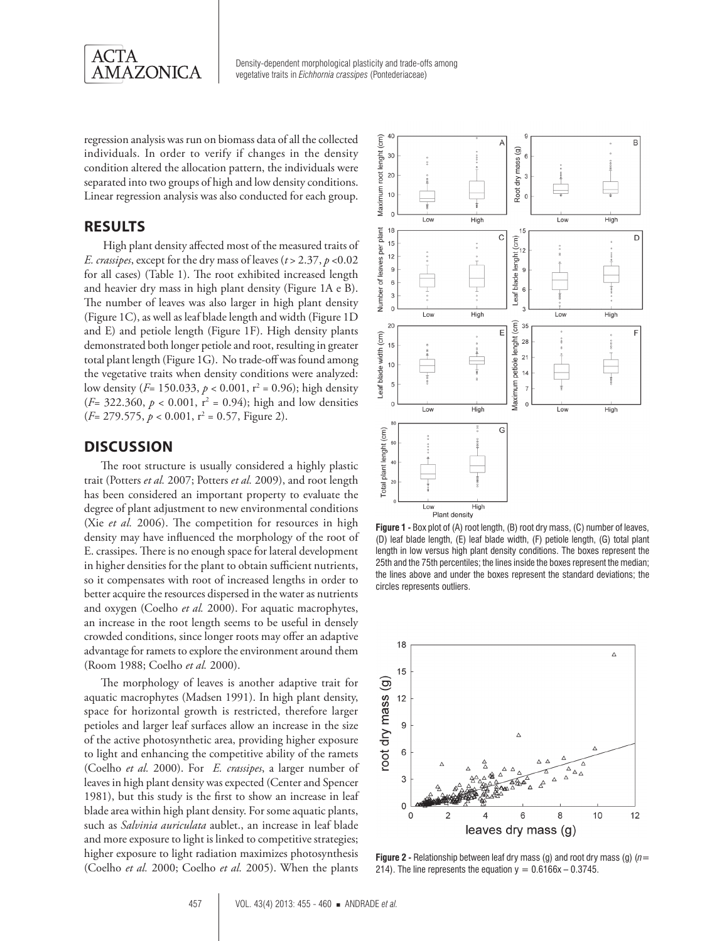

regression analysis was run on biomass data of all the collected individuals. In order to verify if changes in the density condition altered the allocation pattern, the individuals were separated into two groups of high and low density conditions. Linear regression analysis was also conducted for each group.

### **RESULTS**

 High plant density affected most of the measured traits of *E. crassipes*, except for the dry mass of leaves (*t* > 2.37, *p* <0.02 for all cases) (Table 1). The root exhibited increased length and heavier dry mass in high plant density (Figure 1A e B). The number of leaves was also larger in high plant density (Figure 1C), as well as leaf blade length and width (Figure 1D and E) and petiole length (Figure 1F). High density plants demonstrated both longer petiole and root, resulting in greater total plant length (Figure 1G). No trade-off was found among the vegetative traits when density conditions were analyzed: low density (*F*= 150.033, *p* < 0.001, r<sup>2</sup> = 0.96); high density  $(F= 322.360, p < 0.001, r<sup>2</sup> = 0.94)$ ; high and low densities (*F*= 279.575, *p* < 0.001, r<sup>2</sup> = 0.57, Figure 2).

# **DISCUSSION**

The root structure is usually considered a highly plastic trait (Potters *et al.* 2007; Potters *et al.* 2009), and root length has been considered an important property to evaluate the degree of plant adjustment to new environmental conditions (Xie *et al.* 2006). The competition for resources in high density may have influenced the morphology of the root of E. crassipes. There is no enough space for lateral development in higher densities for the plant to obtain sufficient nutrients, so it compensates with root of increased lengths in order to better acquire the resources dispersed in the water as nutrients and oxygen (Coelho *et al.* 2000). For aquatic macrophytes, an increase in the root length seems to be useful in densely crowded conditions, since longer roots may offer an adaptive advantage for ramets to explore the environment around them (Room 1988; Coelho *et al.* 2000).

The morphology of leaves is another adaptive trait for aquatic macrophytes (Madsen 1991). In high plant density, space for horizontal growth is restricted, therefore larger petioles and larger leaf surfaces allow an increase in the size of the active photosynthetic area, providing higher exposure to light and enhancing the competitive ability of the ramets (Coelho *et al.* 2000). For *E. crassipes*, a larger number of leaves in high plant density was expected (Center and Spencer 1981), but this study is the first to show an increase in leaf blade area within high plant density. For some aquatic plants, such as *Salvinia auriculata* aublet., an increase in leaf blade and more exposure to light is linked to competitive strategies; higher exposure to light radiation maximizes photosynthesis (Coelho *et al.* 2000; Coelho *et al.* 2005). When the plants



**Figure 1 -** Box plot of (A) root length, (B) root dry mass, (C) number of leaves, (D) leaf blade length, (E) leaf blade width, (F) petiole length, (G) total plant length in low versus high plant density conditions. The boxes represent the 25th and the 75th percentiles; the lines inside the boxes represent the median; the lines above and under the boxes represent the standard deviations; the circles represents outliers.



**Figure 2 -** Relationship between leaf dry mass (g) and root dry mass (g) (*n*= 214). The line represents the equation  $y = 0.6166x - 0.3745$ .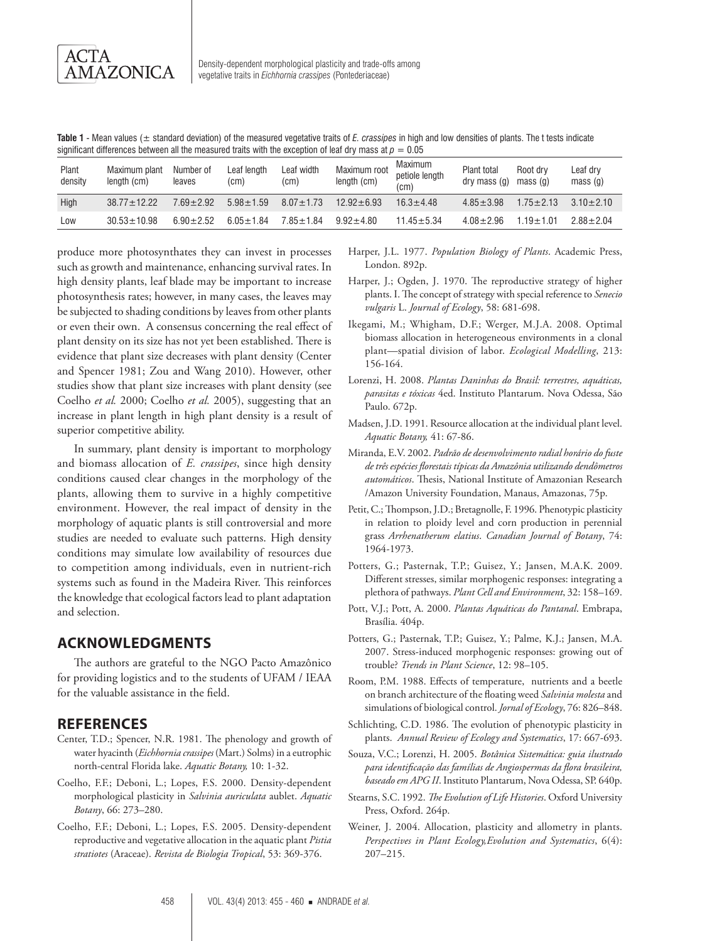**Table 1** - Mean values (± standard deviation) of the measured vegetative traits of *E. crassipes* in high and low densities of plants. The t tests indicate significant differences between all the measured traits with the exception of leaf dry mass at  $p = 0.05$ 

| Plant<br>density | Maximum plant<br>length (cm) | Number of<br>leaves | Leaf length<br>(cm) | Leaf width<br>(cm) | Maximum root<br>length (cm) | Maximum<br>petiole length<br>(cm) | Plant total<br>dry mass (g) | Root drv<br>mass(a) | Leaf dry<br>mass(q) |
|------------------|------------------------------|---------------------|---------------------|--------------------|-----------------------------|-----------------------------------|-----------------------------|---------------------|---------------------|
| High             | $38.77 \pm 12.22$            | $7.69 + 2.92$       | $5.98 \pm 1.59$     | $8.07 + 1.73$      | $12.92 \pm 6.93$            | $16.3 + 4.48$                     | $4.85 + 3.98$               | $1.75 + 2.13$       | $3.10 + 2.10$       |
| Low              | $30.53 \pm 10.98$            | $6.90 + 2.52$       | $6.05 + 1.84$       | $7.85 + 1.84$      | $9.92 + 4.80$               | $11.45 + 5.34$                    | $4.08 + 2.96$               | $1.19 + 1.01$       | $288 + 204$         |

produce more photosynthates they can invest in processes such as growth and maintenance, enhancing survival rates. In high density plants, leaf blade may be important to increase photosynthesis rates; however, in many cases, the leaves may be subjected to shading conditions by leaves from other plants or even their own. A consensus concerning the real effect of plant density on its size has not yet been established. There is evidence that plant size decreases with plant density (Center and Spencer 1981; Zou and Wang 2010). However, other studies show that plant size increases with plant density (see Coelho *et al.* 2000; Coelho *et al.* 2005), suggesting that an increase in plant length in high plant density is a result of superior competitive ability.

In summary, plant density is important to morphology and biomass allocation of *E. crassipes*, since high density conditions caused clear changes in the morphology of the plants, allowing them to survive in a highly competitive environment. However, the real impact of density in the morphology of aquatic plants is still controversial and more studies are needed to evaluate such patterns. High density conditions may simulate low availability of resources due to competition among individuals, even in nutrient-rich systems such as found in the Madeira River. This reinforces the knowledge that ecological factors lead to plant adaptation and selection.

## **ACKNOWLEDGMENTS**

The authors are grateful to the NGO Pacto Amazônico for providing logistics and to the students of UFAM / IEAA for the valuable assistance in the field.

#### **REFERENCES**

- Center, T.D.; Spencer, N.R. 1981. The phenology and growth of water hyacinth (*Eichhornia crassipes* (Mart.) Solms) in a eutrophic north-central Florida lake. *Aquatic Botany,* 10: 1-32.
- Coelho, F.F.; Deboni, L.; Lopes, F.S. 2000. Density-dependent morphological plasticity in *Salvinia auriculata* aublet. *Aquatic Botany*, 66: 273–280.
- Coelho, F.F.; Deboni, L.; Lopes, F.S. 2005. Density-dependent reproductive and vegetative allocation in the aquatic plant *Pistia stratiotes* (Araceae). *Revista de Biologia Tropical*, 53: 369-376.
- Harper, J.L. 1977. *Population Biology of Plants*. Academic Press, London. 892p.
- Harper, J.; Ogden, J. 1970. The reproductive strategy of higher plants. I. The concept of strategy with special reference to *Senecio vulgaris* L. *Journal of Ecology*, 58: 681-698.
- Ikegami, M.; Whigham, D.F.; Werger, M.J.A. 2008. Optimal biomass allocation in heterogeneous environments in a clonal plant—spatial division of labor. *Ecological Modelling*, 213: 156-164.
- Lorenzi, H. 2008. *Plantas Daninhas do Brasil: terrestres, aquáticas, parasitas e tóxicas* 4ed. Instituto Plantarum. Nova Odessa, São Paulo. 672p.
- Madsen, J.D. 1991. Resource allocation at the individual plant level. *Aquatic Botany,* 41: 67-86.
- Miranda, E.V. 2002. *Padrão de desenvolvimento radial horário do fuste de três espécies florestais típicas da Amazônia utilizando dendômetros automáticos*. Thesis, National Institute of Amazonian Research /Amazon University Foundation, Manaus, Amazonas, 75p.
- Petit, C.; Thompson, J.D.; Bretagnolle, F. 1996. Phenotypic plasticity in relation to ploidy level and corn production in perennial grass *Arrhenatherum elatius*. *Canadian Journal of Botany*, 74: 1964-1973.
- Potters, G.; Pasternak, T.P.; Guisez, Y.; Jansen, M.A.K. 2009. Different stresses, similar morphogenic responses: integrating a plethora of pathways. *Plant Cell and Environment*, 32: 158–169.
- Pott, V.J.; Pott, A. 2000. *Plantas Aquáticas do Pantanal*. Embrapa, Brasília. 404p.
- Potters, G.; Pasternak, T.P.; Guisez, Y.; Palme, K.J.; Jansen, M.A. 2007. Stress-induced morphogenic responses: growing out of trouble? *Trends in Plant Science*, 12: 98–105.
- Room, P.M. 1988. Effects of temperature, nutrients and a beetle on branch architecture of the floating weed *Salvinia molesta* and simulations of biological control. *Jornal of Ecology*, 76: 826–848.
- Schlichting, C.D. 1986. The evolution of phenotypic plasticity in plants. *Annual Review of Ecology and Systematics*, 17: 667-693.
- Souza, V.C.; Lorenzi, H. 2005. *Botânica Sistemática: guia ilustrado para identificação das famílias de Angiospermas da flora brasileira, baseado em APG II*. Instituto Plantarum, Nova Odessa, SP. 640p.
- Stearns, S.C. 1992. *The Evolution of Life Histories*. Oxford University Press, Oxford. 264p.
- Weiner, J. 2004. Allocation, plasticity and allometry in plants. *Perspectives in Plant Ecology,Evolution and Systematics*, 6(4): 207–215.